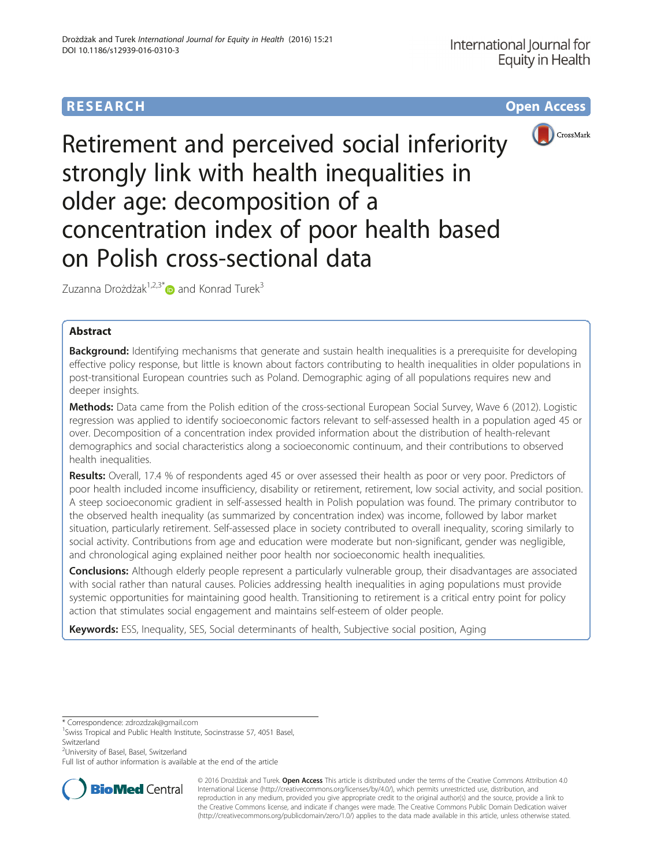# **RESEARCH RESEARCH** *CHECK <b>CHECK*



# Retirement and perceived social inferiority strongly link with health inequalities in older age: decomposition of a concentration index of poor health based on Polish cross-sectional data

Zuzanna Drożdżak<sup>1,2,3\*</sup> $\bullet$  and Konrad Turek<sup>3</sup>

# Abstract

Background: Identifying mechanisms that generate and sustain health inequalities is a prerequisite for developing effective policy response, but little is known about factors contributing to health inequalities in older populations in post-transitional European countries such as Poland. Demographic aging of all populations requires new and deeper insights.

Methods: Data came from the Polish edition of the cross-sectional European Social Survey, Wave 6 (2012). Logistic regression was applied to identify socioeconomic factors relevant to self-assessed health in a population aged 45 or over. Decomposition of a concentration index provided information about the distribution of health-relevant demographics and social characteristics along a socioeconomic continuum, and their contributions to observed health inequalities.

Results: Overall, 17.4 % of respondents aged 45 or over assessed their health as poor or very poor. Predictors of poor health included income insufficiency, disability or retirement, retirement, low social activity, and social position. A steep socioeconomic gradient in self-assessed health in Polish population was found. The primary contributor to the observed health inequality (as summarized by concentration index) was income, followed by labor market situation, particularly retirement. Self-assessed place in society contributed to overall inequality, scoring similarly to social activity. Contributions from age and education were moderate but non-significant, gender was negligible, and chronological aging explained neither poor health nor socioeconomic health inequalities.

**Conclusions:** Although elderly people represent a particularly vulnerable group, their disadvantages are associated with social rather than natural causes. Policies addressing health inequalities in aging populations must provide systemic opportunities for maintaining good health. Transitioning to retirement is a critical entry point for policy action that stimulates social engagement and maintains self-esteem of older people.

Keywords: ESS, Inequality, SES, Social determinants of health, Subjective social position, Aging

\* Correspondence: [zdrozdzak@gmail.com](mailto:zdrozdzak@gmail.com) <sup>1</sup>

<sup>1</sup> Swiss Tropical and Public Health Institute, Socinstrasse 57, 4051 Basel, Switzerland

<sup>2</sup>University of Basel, Basel, Switzerland

Full list of author information is available at the end of the article



© 2016 Drożdżak and Turek. **Open Access** This article is distributed under the terms of the Creative Commons Attribution 4.0 International License [\(http://creativecommons.org/licenses/by/4.0/](http://creativecommons.org/licenses/by/4.0/)), which permits unrestricted use, distribution, and reproduction in any medium, provided you give appropriate credit to the original author(s) and the source, provide a link to the Creative Commons license, and indicate if changes were made. The Creative Commons Public Domain Dedication waiver [\(http://creativecommons.org/publicdomain/zero/1.0/](http://creativecommons.org/publicdomain/zero/1.0/)) applies to the data made available in this article, unless otherwise stated.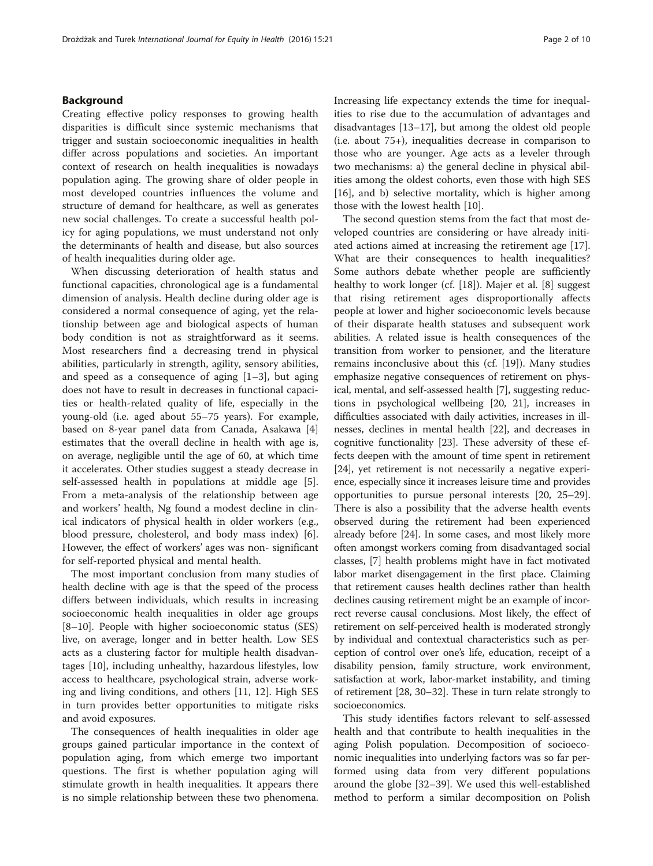# Background

Creating effective policy responses to growing health disparities is difficult since systemic mechanisms that trigger and sustain socioeconomic inequalities in health differ across populations and societies. An important context of research on health inequalities is nowadays population aging. The growing share of older people in most developed countries influences the volume and structure of demand for healthcare, as well as generates new social challenges. To create a successful health policy for aging populations, we must understand not only the determinants of health and disease, but also sources of health inequalities during older age.

When discussing deterioration of health status and functional capacities, chronological age is a fundamental dimension of analysis. Health decline during older age is considered a normal consequence of aging, yet the relationship between age and biological aspects of human body condition is not as straightforward as it seems. Most researchers find a decreasing trend in physical abilities, particularly in strength, agility, sensory abilities, and speed as a consequence of aging  $[1-3]$  $[1-3]$  $[1-3]$  $[1-3]$ , but aging does not have to result in decreases in functional capacities or health-related quality of life, especially in the young-old (i.e. aged about 55–75 years). For example, based on 8-year panel data from Canada, Asakawa [\[4](#page-8-0)] estimates that the overall decline in health with age is, on average, negligible until the age of 60, at which time it accelerates. Other studies suggest a steady decrease in self-assessed health in populations at middle age [\[5](#page-8-0)]. From a meta-analysis of the relationship between age and workers' health, Ng found a modest decline in clinical indicators of physical health in older workers (e.g., blood pressure, cholesterol, and body mass index) [\[6](#page-8-0)]. However, the effect of workers' ages was non- significant for self-reported physical and mental health.

The most important conclusion from many studies of health decline with age is that the speed of the process differs between individuals, which results in increasing socioeconomic health inequalities in older age groups [[8](#page-8-0)–[10\]](#page-8-0). People with higher socioeconomic status (SES) live, on average, longer and in better health. Low SES acts as a clustering factor for multiple health disadvantages [[10\]](#page-8-0), including unhealthy, hazardous lifestyles, low access to healthcare, psychological strain, adverse working and living conditions, and others [[11, 12](#page-8-0)]. High SES in turn provides better opportunities to mitigate risks and avoid exposures.

The consequences of health inequalities in older age groups gained particular importance in the context of population aging, from which emerge two important questions. The first is whether population aging will stimulate growth in health inequalities. It appears there is no simple relationship between these two phenomena. Increasing life expectancy extends the time for inequalities to rise due to the accumulation of advantages and disadvantages [\[13](#page-8-0)–[17](#page-8-0)], but among the oldest old people (i.e. about 75+), inequalities decrease in comparison to those who are younger. Age acts as a leveler through two mechanisms: a) the general decline in physical abilities among the oldest cohorts, even those with high SES [[16\]](#page-8-0), and b) selective mortality, which is higher among those with the lowest health [\[10](#page-8-0)].

The second question stems from the fact that most developed countries are considering or have already initiated actions aimed at increasing the retirement age [\[17](#page-8-0)]. What are their consequences to health inequalities? Some authors debate whether people are sufficiently healthy to work longer (cf. [[18](#page-8-0)]). Majer et al. [\[8](#page-8-0)] suggest that rising retirement ages disproportionally affects people at lower and higher socioeconomic levels because of their disparate health statuses and subsequent work abilities. A related issue is health consequences of the transition from worker to pensioner, and the literature remains inconclusive about this (cf. [[19\]](#page-8-0)). Many studies emphasize negative consequences of retirement on physical, mental, and self-assessed health [[7](#page-8-0)], suggesting reductions in psychological wellbeing [\[20, 21](#page-8-0)], increases in difficulties associated with daily activities, increases in illnesses, declines in mental health [[22](#page-8-0)], and decreases in cognitive functionality [\[23\]](#page-8-0). These adversity of these effects deepen with the amount of time spent in retirement [[24](#page-8-0)], yet retirement is not necessarily a negative experience, especially since it increases leisure time and provides opportunities to pursue personal interests [\[20, 25](#page-8-0)–[29](#page-8-0)]. There is also a possibility that the adverse health events observed during the retirement had been experienced already before [[24](#page-8-0)]. In some cases, and most likely more often amongst workers coming from disadvantaged social classes, [\[7](#page-8-0)] health problems might have in fact motivated labor market disengagement in the first place. Claiming that retirement causes health declines rather than health declines causing retirement might be an example of incorrect reverse causal conclusions. Most likely, the effect of retirement on self-perceived health is moderated strongly by individual and contextual characteristics such as perception of control over one's life, education, receipt of a disability pension, family structure, work environment, satisfaction at work, labor-market instability, and timing of retirement [[28, 30](#page-8-0)–[32\]](#page-8-0). These in turn relate strongly to socioeconomics.

This study identifies factors relevant to self-assessed health and that contribute to health inequalities in the aging Polish population. Decomposition of socioeconomic inequalities into underlying factors was so far performed using data from very different populations around the globe [[32](#page-8-0)–[39](#page-9-0)]. We used this well-established method to perform a similar decomposition on Polish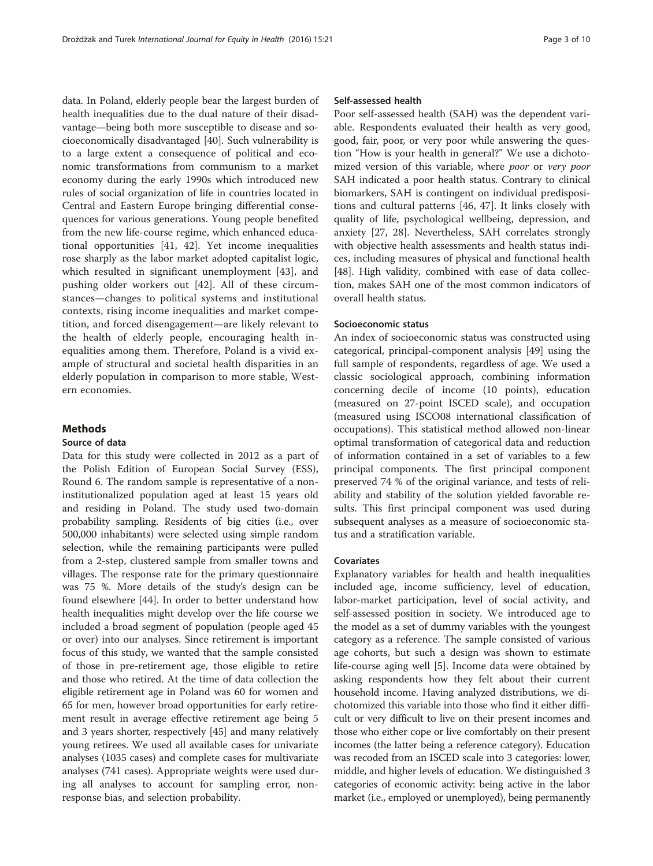data. In Poland, elderly people bear the largest burden of health inequalities due to the dual nature of their disadvantage—being both more susceptible to disease and socioeconomically disadvantaged [\[40\]](#page-9-0). Such vulnerability is to a large extent a consequence of political and economic transformations from communism to a market economy during the early 1990s which introduced new rules of social organization of life in countries located in Central and Eastern Europe bringing differential consequences for various generations. Young people benefited from the new life-course regime, which enhanced educational opportunities [[41](#page-9-0), [42](#page-9-0)]. Yet income inequalities rose sharply as the labor market adopted capitalist logic, which resulted in significant unemployment [\[43](#page-9-0)], and pushing older workers out [[42\]](#page-9-0). All of these circumstances—changes to political systems and institutional contexts, rising income inequalities and market competition, and forced disengagement—are likely relevant to the health of elderly people, encouraging health inequalities among them. Therefore, Poland is a vivid example of structural and societal health disparities in an elderly population in comparison to more stable, Western economies.

# **Methods**

# Source of data

Data for this study were collected in 2012 as a part of the Polish Edition of European Social Survey (ESS), Round 6. The random sample is representative of a noninstitutionalized population aged at least 15 years old and residing in Poland. The study used two-domain probability sampling. Residents of big cities (i.e., over 500,000 inhabitants) were selected using simple random selection, while the remaining participants were pulled from a 2-step, clustered sample from smaller towns and villages. The response rate for the primary questionnaire was 75 %. More details of the study's design can be found elsewhere [[44\]](#page-9-0). In order to better understand how health inequalities might develop over the life course we included a broad segment of population (people aged 45 or over) into our analyses. Since retirement is important focus of this study, we wanted that the sample consisted of those in pre-retirement age, those eligible to retire and those who retired. At the time of data collection the eligible retirement age in Poland was 60 for women and 65 for men, however broad opportunities for early retirement result in average effective retirement age being 5 and 3 years shorter, respectively [\[45\]](#page-9-0) and many relatively young retirees. We used all available cases for univariate analyses (1035 cases) and complete cases for multivariate analyses (741 cases). Appropriate weights were used during all analyses to account for sampling error, nonresponse bias, and selection probability.

#### Self-assessed health

Poor self-assessed health (SAH) was the dependent variable. Respondents evaluated their health as very good, good, fair, poor, or very poor while answering the question "How is your health in general?" We use a dichotomized version of this variable, where poor or very poor SAH indicated a poor health status. Contrary to clinical biomarkers, SAH is contingent on individual predispositions and cultural patterns [\[46](#page-9-0), [47\]](#page-9-0). It links closely with quality of life, psychological wellbeing, depression, and anxiety [[27, 28](#page-8-0)]. Nevertheless, SAH correlates strongly with objective health assessments and health status indices, including measures of physical and functional health [[48\]](#page-9-0). High validity, combined with ease of data collection, makes SAH one of the most common indicators of overall health status.

# Socioeconomic status

An index of socioeconomic status was constructed using categorical, principal-component analysis [[49\]](#page-9-0) using the full sample of respondents, regardless of age. We used a classic sociological approach, combining information concerning decile of income (10 points), education (measured on 27-point ISCED scale), and occupation (measured using ISCO08 international classification of occupations). This statistical method allowed non-linear optimal transformation of categorical data and reduction of information contained in a set of variables to a few principal components. The first principal component preserved 74 % of the original variance, and tests of reliability and stability of the solution yielded favorable results. This first principal component was used during subsequent analyses as a measure of socioeconomic status and a stratification variable.

## Covariates

Explanatory variables for health and health inequalities included age, income sufficiency, level of education, labor-market participation, level of social activity, and self-assessed position in society. We introduced age to the model as a set of dummy variables with the youngest category as a reference. The sample consisted of various age cohorts, but such a design was shown to estimate life-course aging well [[5\]](#page-8-0). Income data were obtained by asking respondents how they felt about their current household income. Having analyzed distributions, we dichotomized this variable into those who find it either difficult or very difficult to live on their present incomes and those who either cope or live comfortably on their present incomes (the latter being a reference category). Education was recoded from an ISCED scale into 3 categories: lower, middle, and higher levels of education. We distinguished 3 categories of economic activity: being active in the labor market (i.e., employed or unemployed), being permanently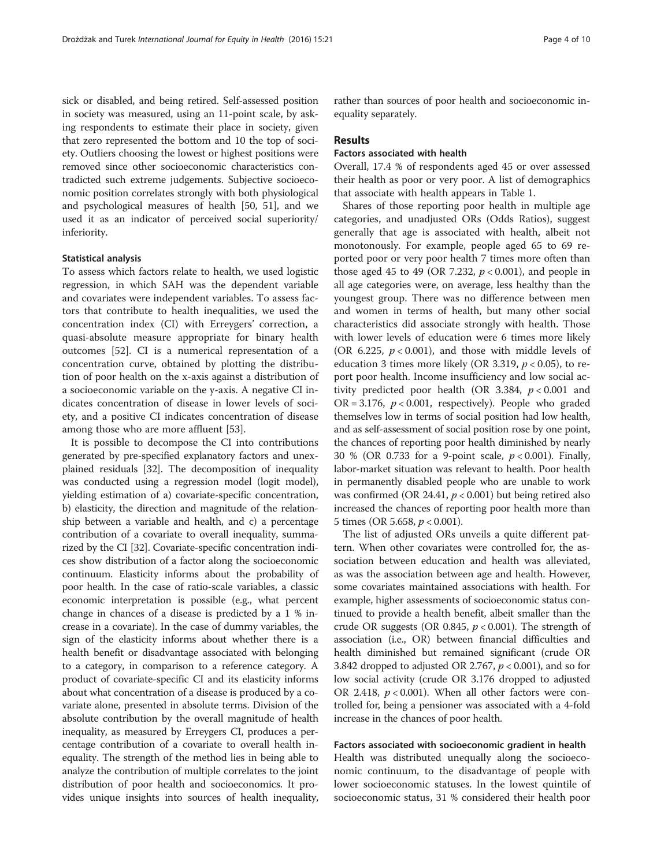sick or disabled, and being retired. Self-assessed position in society was measured, using an 11-point scale, by asking respondents to estimate their place in society, given that zero represented the bottom and 10 the top of society. Outliers choosing the lowest or highest positions were removed since other socioeconomic characteristics contradicted such extreme judgements. Subjective socioeconomic position correlates strongly with both physiological and psychological measures of health [\[50, 51](#page-9-0)], and we used it as an indicator of perceived social superiority/ inferiority.

#### Statistical analysis

To assess which factors relate to health, we used logistic regression, in which SAH was the dependent variable and covariates were independent variables. To assess factors that contribute to health inequalities, we used the concentration index (CI) with Erreygers' correction, a quasi-absolute measure appropriate for binary health outcomes [[52\]](#page-9-0). CI is a numerical representation of a concentration curve, obtained by plotting the distribution of poor health on the x-axis against a distribution of a socioeconomic variable on the y-axis. A negative CI indicates concentration of disease in lower levels of society, and a positive CI indicates concentration of disease among those who are more affluent [\[53\]](#page-9-0).

It is possible to decompose the CI into contributions generated by pre-specified explanatory factors and unexplained residuals [[32](#page-8-0)]. The decomposition of inequality was conducted using a regression model (logit model), yielding estimation of a) covariate-specific concentration, b) elasticity, the direction and magnitude of the relationship between a variable and health, and c) a percentage contribution of a covariate to overall inequality, summarized by the CI [\[32\]](#page-8-0). Covariate-specific concentration indices show distribution of a factor along the socioeconomic continuum. Elasticity informs about the probability of poor health. In the case of ratio-scale variables, a classic economic interpretation is possible (e.g., what percent change in chances of a disease is predicted by a 1 % increase in a covariate). In the case of dummy variables, the sign of the elasticity informs about whether there is a health benefit or disadvantage associated with belonging to a category, in comparison to a reference category. A product of covariate-specific CI and its elasticity informs about what concentration of a disease is produced by a covariate alone, presented in absolute terms. Division of the absolute contribution by the overall magnitude of health inequality, as measured by Erreygers CI, produces a percentage contribution of a covariate to overall health inequality. The strength of the method lies in being able to analyze the contribution of multiple correlates to the joint distribution of poor health and socioeconomics. It provides unique insights into sources of health inequality,

rather than sources of poor health and socioeconomic inequality separately.

#### Results

# Factors associated with health

Overall, 17.4 % of respondents aged 45 or over assessed their health as poor or very poor. A list of demographics that associate with health appears in Table [1.](#page-4-0)

Shares of those reporting poor health in multiple age categories, and unadjusted ORs (Odds Ratios), suggest generally that age is associated with health, albeit not monotonously. For example, people aged 65 to 69 reported poor or very poor health 7 times more often than those aged 45 to 49 (OR 7.232,  $p < 0.001$ ), and people in all age categories were, on average, less healthy than the youngest group. There was no difference between men and women in terms of health, but many other social characteristics did associate strongly with health. Those with lower levels of education were 6 times more likely (OR 6.225,  $p < 0.001$ ), and those with middle levels of education 3 times more likely (OR 3.319,  $p < 0.05$ ), to report poor health. Income insufficiency and low social activity predicted poor health (OR 3.384,  $p < 0.001$  and  $OR = 3.176$ ,  $p < 0.001$ , respectively). People who graded themselves low in terms of social position had low health, and as self-assessment of social position rose by one point, the chances of reporting poor health diminished by nearly 30 % (OR 0.733 for a 9-point scale,  $p < 0.001$ ). Finally, labor-market situation was relevant to health. Poor health in permanently disabled people who are unable to work was confirmed (OR 24.41,  $p < 0.001$ ) but being retired also increased the chances of reporting poor health more than 5 times (OR 5.658, p < 0.001).

The list of adjusted ORs unveils a quite different pattern. When other covariates were controlled for, the association between education and health was alleviated, as was the association between age and health. However, some covariates maintained associations with health. For example, higher assessments of socioeconomic status continued to provide a health benefit, albeit smaller than the crude OR suggests (OR 0.845,  $p < 0.001$ ). The strength of association (i.e., OR) between financial difficulties and health diminished but remained significant (crude OR 3.842 dropped to adjusted OR 2.767,  $p < 0.001$ ), and so for low social activity (crude OR 3.176 dropped to adjusted OR 2.418,  $p < 0.001$ ). When all other factors were controlled for, being a pensioner was associated with a 4-fold increase in the chances of poor health.

#### Factors associated with socioeconomic gradient in health

Health was distributed unequally along the socioeconomic continuum, to the disadvantage of people with lower socioeconomic statuses. In the lowest quintile of socioeconomic status, 31 % considered their health poor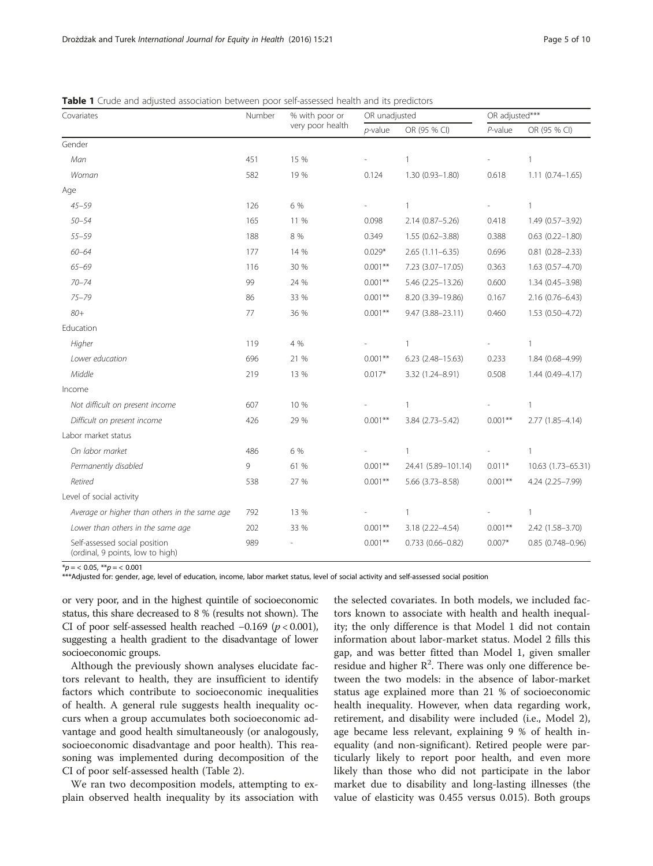| Covariates                                                        | Number | % with poor or<br>very poor health | OR unadjusted |                         | OR adjusted*** |                        |
|-------------------------------------------------------------------|--------|------------------------------------|---------------|-------------------------|----------------|------------------------|
|                                                                   |        |                                    | $p$ -value    | OR (95 % CI)            | $P$ -value     | OR (95 % CI)           |
| Gender                                                            |        |                                    |               |                         |                |                        |
| Man                                                               | 451    | 15 %                               |               | $\mathbf{1}$            |                | $\mathbf{1}$           |
| Woman                                                             | 582    | 19 %                               | 0.124         | $1.30(0.93 - 1.80)$     | 0.618          | $1.11(0.74 - 1.65)$    |
| Age                                                               |        |                                    |               |                         |                |                        |
| $45 - 59$                                                         | 126    | 6 %                                |               | $\mathbf{1}$            |                | $\mathbf{1}$           |
| $50 - 54$                                                         | 165    | 11 %                               | 0.098         | $2.14(0.87 - 5.26)$     | 0.418          | 1.49 (0.57-3.92)       |
| $55 - 59$                                                         | 188    | 8 %                                | 0.349         | $1.55(0.62 - 3.88)$     | 0.388          | $0.63$ $(0.22 - 1.80)$ |
| $60 - 64$                                                         | 177    | 14 %                               | $0.029*$      | $2.65(1.11-6.35)$       | 0.696          | $0.81$ (0.28-2.33)     |
| $65 - 69$                                                         | 116    | 30 %                               | $0.001**$     | 7.23 (3.07-17.05)       | 0.363          | $1.63(0.57 - 4.70)$    |
| $70 - 74$                                                         | 99     | 24 %                               | $0.001**$     | $5.46$ (2.25-13.26)     | 0.600          | $1.34(0.45 - 3.98)$    |
| $75 - 79$                                                         | 86     | 33 %                               | $0.001**$     | 8.20 (3.39-19.86)       | 0.167          | $2.16(0.76 - 6.43)$    |
| 80+                                                               | 77     | 36 %                               | $0.001**$     | 9.47 (3.88-23.11)       | 0.460          | $1.53(0.50 - 4.72)$    |
| Education                                                         |        |                                    |               |                         |                |                        |
| Higher                                                            | 119    | 4 %                                |               | 1                       |                | 1                      |
| Lower education                                                   | 696    | 21 %                               | $0.001**$     | $6.23$ $(2.48 - 15.63)$ | 0.233          | 1.84 (0.68-4.99)       |
| Middle                                                            | 219    | 13 %                               | $0.017*$      | 3.32 (1.24-8.91)        | 0.508          | $1.44(0.49 - 4.17)$    |
| Income                                                            |        |                                    |               |                         |                |                        |
| Not difficult on present income                                   | 607    | 10 %                               |               | $\mathbf{1}$            |                | 1                      |
| Difficult on present income                                       | 426    | 29 %                               | $0.001**$     | 3.84 (2.73-5.42)        | $0.001**$      | $2.77(1.85 - 4.14)$    |
| Labor market status                                               |        |                                    |               |                         |                |                        |
| On labor market                                                   | 486    | 6 %                                |               | $\mathbf{1}$            |                | $\mathbf{1}$           |
| Permanently disabled                                              | 9      | 61 %                               | $0.001***$    | 24.41 (5.89-101.14)     | $0.011*$       | 10.63 (1.73-65.31)     |
| Retired                                                           | 538    | 27 %                               | $0.001**$     | 5.66 (3.73-8.58)        | $0.001***$     | 4.24 (2.25-7.99)       |
| Level of social activity                                          |        |                                    |               |                         |                |                        |
| Average or higher than others in the same age                     | 792    | 13 %                               |               | $\mathbf{1}$            |                | 1                      |
| Lower than others in the same age                                 | 202    | 33 %                               | $0.001**$     | 3.18 (2.22-4.54)        | $0.001***$     | 2.42 (1.58-3.70)       |
| Self-assessed social position<br>(ordinal, 9 points, low to high) | 989    | $\overline{a}$                     | $0.001**$     | $0.733(0.66 - 0.82)$    | $0.007*$       | $0.85(0.748 - 0.96)$   |

<span id="page-4-0"></span>**Table 1** Crude and adjusted association between poor self-assessed health and its predictors

 $*p = 0.05, **p = 0.001$ 

\*\*\*Adjusted for: gender, age, level of education, income, labor market status, level of social activity and self-assessed social position

or very poor, and in the highest quintile of socioeconomic status, this share decreased to 8 % (results not shown). The CI of poor self-assessed health reached  $-0.169$  ( $p < 0.001$ ), suggesting a health gradient to the disadvantage of lower socioeconomic groups.

Although the previously shown analyses elucidate factors relevant to health, they are insufficient to identify factors which contribute to socioeconomic inequalities of health. A general rule suggests health inequality occurs when a group accumulates both socioeconomic advantage and good health simultaneously (or analogously, socioeconomic disadvantage and poor health). This reasoning was implemented during decomposition of the CI of poor self-assessed health (Table [2\)](#page-5-0).

We ran two decomposition models, attempting to explain observed health inequality by its association with

the selected covariates. In both models, we included factors known to associate with health and health inequality; the only difference is that Model 1 did not contain information about labor-market status. Model 2 fills this gap, and was better fitted than Model 1, given smaller residue and higher  $\mathbb{R}^2$ . There was only one difference between the two models: in the absence of labor-market status age explained more than 21 % of socioeconomic health inequality. However, when data regarding work, retirement, and disability were included (i.e., Model 2), age became less relevant, explaining 9 % of health inequality (and non-significant). Retired people were particularly likely to report poor health, and even more likely than those who did not participate in the labor market due to disability and long-lasting illnesses (the value of elasticity was 0.455 versus 0.015). Both groups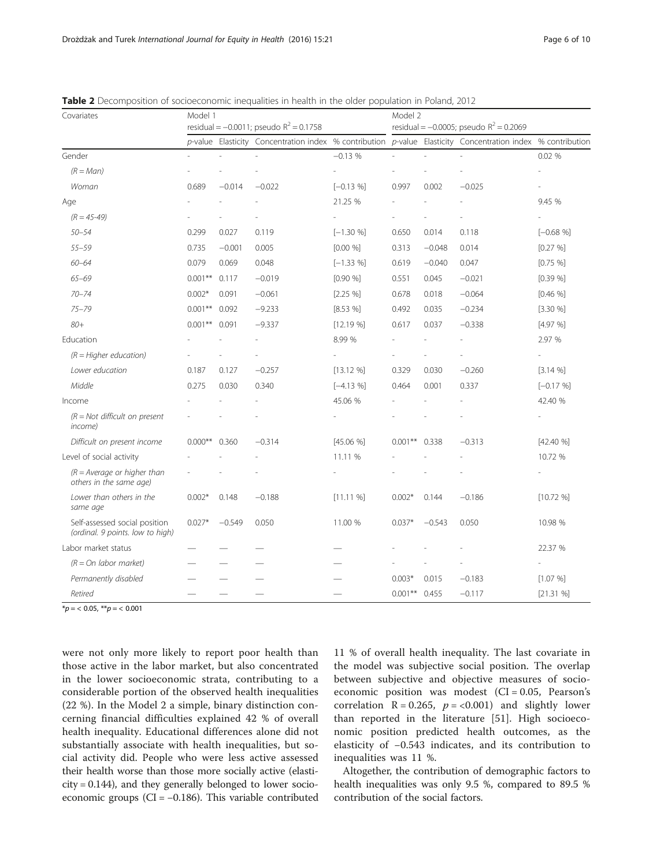| Covariates                                                        | Model 1<br>residual = -0.0011; pseudo $R^2$ = 0.1758 |          |                                                                                                             |             |                  | Model 2<br>residual = -0.0005; pseudo $R^2$ = 0.2069 |          |                          |  |  |
|-------------------------------------------------------------------|------------------------------------------------------|----------|-------------------------------------------------------------------------------------------------------------|-------------|------------------|------------------------------------------------------|----------|--------------------------|--|--|
|                                                                   |                                                      |          |                                                                                                             |             |                  |                                                      |          |                          |  |  |
|                                                                   |                                                      |          | p-value Elasticity Concentration index % contribution p-value Elasticity Concentration index % contribution |             |                  |                                                      |          |                          |  |  |
| Gender                                                            |                                                      |          |                                                                                                             | $-0.13%$    |                  |                                                      |          | 0.02 %                   |  |  |
| $(R = Man)$                                                       |                                                      |          |                                                                                                             |             |                  |                                                      |          |                          |  |  |
| Woman                                                             | 0.689                                                | $-0.014$ | $-0.022$                                                                                                    | $[-0.13%]$  | 0.997            | 0.002                                                | $-0.025$ |                          |  |  |
| Age                                                               |                                                      |          |                                                                                                             | 21.25 %     |                  |                                                      |          | 9.45 %                   |  |  |
| $(R = 45-49)$                                                     |                                                      |          |                                                                                                             |             |                  |                                                      |          |                          |  |  |
| $50 - 54$                                                         | 0.299                                                | 0.027    | 0.119                                                                                                       | $[-1.30%]$  | 0.650            | 0.014                                                | 0.118    | $[-0.68%]$               |  |  |
| $55 - 59$                                                         | 0.735                                                | $-0.001$ | 0.005                                                                                                       | [0.00%]     | 0.313            | $-0.048$                                             | 0.014    | $[0.27\%]$               |  |  |
| $60 - 64$                                                         | 0.079                                                | 0.069    | 0.048                                                                                                       | $[-1.33\%]$ | 0.619            | $-0.040$                                             | 0.047    | $[0.75\%]$               |  |  |
| $65 - 69$                                                         | $0.001**$                                            | 0.117    | $-0.019$                                                                                                    | [0.90%]     | 0.551            | 0.045                                                | $-0.021$ | [0.39%]                  |  |  |
| $70 - 74$                                                         | $0.002*$                                             | 0.091    | $-0.061$                                                                                                    | [2.25%]     | 0.678            | 0.018                                                | $-0.064$ | [0.46%]                  |  |  |
| $75 - 79$                                                         | $0.001***$                                           | 0.092    | $-9.233$                                                                                                    | [8.53%]     | 0.492            | 0.035                                                | $-0.234$ | [3.30%]                  |  |  |
| $80 +$                                                            | $0.001***$                                           | 0.091    | $-9.337$                                                                                                    | [12.19%]    | 0.617            | 0.037                                                | $-0.338$ | [4.97%]                  |  |  |
| Education                                                         |                                                      |          |                                                                                                             | 8.99 %      |                  |                                                      |          | 2.97 %                   |  |  |
| $(R = Higher education)$                                          |                                                      |          |                                                                                                             |             |                  |                                                      |          | $\overline{\phantom{m}}$ |  |  |
| Lower education                                                   | 0.187                                                | 0.127    | $-0.257$                                                                                                    | [13.12%]    | 0.329            | 0.030                                                | $-0.260$ | [3.14%]                  |  |  |
| Middle                                                            | 0.275                                                | 0.030    | 0.340                                                                                                       | $[-4.13%]$  | 0.464            | 0.001                                                | 0.337    | $[-0.17\%]$              |  |  |
| Income                                                            |                                                      |          |                                                                                                             | 45.06 %     |                  |                                                      |          | 42.40 %                  |  |  |
| $(R = Not$ difficult on present<br><i>income</i> )                |                                                      |          |                                                                                                             |             |                  |                                                      |          |                          |  |  |
| Difficult on present income                                       | $0.000**$                                            | 0.360    | $-0.314$                                                                                                    | [45.06%]    | $0.001***$ 0.338 |                                                      | $-0.313$ | [42.40%]                 |  |  |
| Level of social activity                                          |                                                      |          |                                                                                                             | 11.11 %     |                  |                                                      |          | 10.72 %                  |  |  |
| $(R = Average or higher than$<br>others in the same age)          |                                                      |          |                                                                                                             |             |                  |                                                      |          |                          |  |  |
| Lower than others in the<br>same age                              | $0.002*$                                             | 0.148    | $-0.188$                                                                                                    | [11.11%     | $0.002*$         | 0.144                                                | $-0.186$ | [10.72%]                 |  |  |
| Self-assessed social position<br>(ordinal. 9 points. low to high) | $0.027*$                                             | $-0.549$ | 0.050                                                                                                       | 11.00 %     | $0.037*$         | $-0.543$                                             | 0.050    | 10.98 %                  |  |  |
| Labor market status                                               |                                                      |          |                                                                                                             |             |                  |                                                      |          | 22.37 %                  |  |  |
| $(R = On$ labor market)                                           |                                                      |          |                                                                                                             |             |                  |                                                      |          |                          |  |  |
| Permanently disabled                                              |                                                      |          |                                                                                                             |             | $0.003*$         | 0.015                                                | $-0.183$ | [1.07%]                  |  |  |
| Retired                                                           |                                                      |          |                                                                                                             |             | $0.001***$ 0.455 |                                                      | $-0.117$ | [21.31%]                 |  |  |

<span id="page-5-0"></span>Table 2 Decomposition of socioeconomic inequalities in health in the older population in Poland, 2012

 $*p = 0.05$ ,  $**p = 0.001$ 

were not only more likely to report poor health than those active in the labor market, but also concentrated in the lower socioeconomic strata, contributing to a considerable portion of the observed health inequalities (22 %). In the Model 2 a simple, binary distinction concerning financial difficulties explained 42 % of overall health inequality. Educational differences alone did not substantially associate with health inequalities, but social activity did. People who were less active assessed their health worse than those more socially active (elasticity = 0.144), and they generally belonged to lower socioeconomic groups (CI = −0.186). This variable contributed

11 % of overall health inequality. The last covariate in the model was subjective social position. The overlap between subjective and objective measures of socioeconomic position was modest  $(CI = 0.05,$  Pearson's correlation  $R = 0.265$ ,  $p = <0.001$ ) and slightly lower than reported in the literature [\[51](#page-9-0)]. High socioeconomic position predicted health outcomes, as the elasticity of −0.543 indicates, and its contribution to inequalities was 11 %.

Altogether, the contribution of demographic factors to health inequalities was only 9.5 %, compared to 89.5 % contribution of the social factors.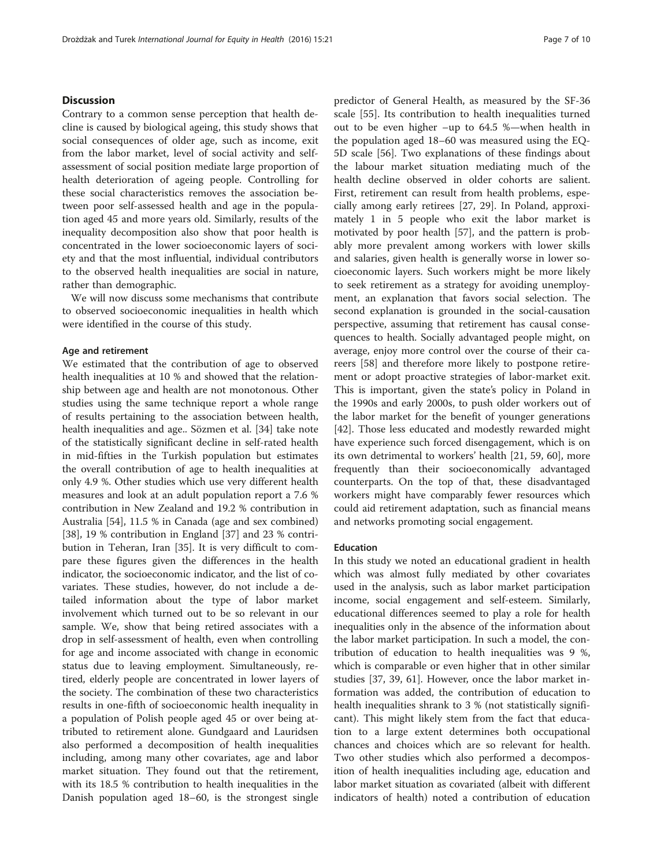# **Discussion**

Contrary to a common sense perception that health decline is caused by biological ageing, this study shows that social consequences of older age, such as income, exit from the labor market, level of social activity and selfassessment of social position mediate large proportion of health deterioration of ageing people. Controlling for these social characteristics removes the association between poor self-assessed health and age in the population aged 45 and more years old. Similarly, results of the inequality decomposition also show that poor health is concentrated in the lower socioeconomic layers of society and that the most influential, individual contributors to the observed health inequalities are social in nature, rather than demographic.

We will now discuss some mechanisms that contribute to observed socioeconomic inequalities in health which were identified in the course of this study.

#### Age and retirement

We estimated that the contribution of age to observed health inequalities at 10 % and showed that the relationship between age and health are not monotonous. Other studies using the same technique report a whole range of results pertaining to the association between health, health inequalities and age.. Sözmen et al. [\[34\]](#page-8-0) take note of the statistically significant decline in self-rated health in mid-fifties in the Turkish population but estimates the overall contribution of age to health inequalities at only 4.9 %. Other studies which use very different health measures and look at an adult population report a 7.6 % contribution in New Zealand and 19.2 % contribution in Australia [[54\]](#page-9-0), 11.5 % in Canada (age and sex combined) [[38\]](#page-9-0), 19 % contribution in England [[37](#page-9-0)] and 23 % contribution in Teheran, Iran [\[35](#page-8-0)]. It is very difficult to compare these figures given the differences in the health indicator, the socioeconomic indicator, and the list of covariates. These studies, however, do not include a detailed information about the type of labor market involvement which turned out to be so relevant in our sample. We, show that being retired associates with a drop in self-assessment of health, even when controlling for age and income associated with change in economic status due to leaving employment. Simultaneously, retired, elderly people are concentrated in lower layers of the society. The combination of these two characteristics results in one-fifth of socioeconomic health inequality in a population of Polish people aged 45 or over being attributed to retirement alone. Gundgaard and Lauridsen also performed a decomposition of health inequalities including, among many other covariates, age and labor market situation. They found out that the retirement, with its 18.5 % contribution to health inequalities in the Danish population aged 18–60, is the strongest single predictor of General Health, as measured by the SF-36 scale [\[55](#page-9-0)]. Its contribution to health inequalities turned out to be even higher –up to 64.5 %—when health in the population aged 18–60 was measured using the EQ-5D scale [[56\]](#page-9-0). Two explanations of these findings about the labour market situation mediating much of the health decline observed in older cohorts are salient. First, retirement can result from health problems, especially among early retirees [[27, 29\]](#page-8-0). In Poland, approximately 1 in 5 people who exit the labor market is motivated by poor health [[57\]](#page-9-0), and the pattern is probably more prevalent among workers with lower skills and salaries, given health is generally worse in lower socioeconomic layers. Such workers might be more likely to seek retirement as a strategy for avoiding unemployment, an explanation that favors social selection. The second explanation is grounded in the social-causation perspective, assuming that retirement has causal consequences to health. Socially advantaged people might, on average, enjoy more control over the course of their careers [[58\]](#page-9-0) and therefore more likely to postpone retirement or adopt proactive strategies of labor-market exit. This is important, given the state's policy in Poland in the 1990s and early 2000s, to push older workers out of the labor market for the benefit of younger generations [[42\]](#page-9-0). Those less educated and modestly rewarded might have experience such forced disengagement, which is on its own detrimental to workers' health [[21,](#page-8-0) [59, 60\]](#page-9-0), more frequently than their socioeconomically advantaged counterparts. On the top of that, these disadvantaged workers might have comparably fewer resources which could aid retirement adaptation, such as financial means and networks promoting social engagement.

#### Education

In this study we noted an educational gradient in health which was almost fully mediated by other covariates used in the analysis, such as labor market participation income, social engagement and self-esteem. Similarly, educational differences seemed to play a role for health inequalities only in the absence of the information about the labor market participation. In such a model, the contribution of education to health inequalities was 9 %, which is comparable or even higher that in other similar studies [[37, 39](#page-9-0), [61\]](#page-9-0). However, once the labor market information was added, the contribution of education to health inequalities shrank to 3 % (not statistically significant). This might likely stem from the fact that education to a large extent determines both occupational chances and choices which are so relevant for health. Two other studies which also performed a decomposition of health inequalities including age, education and labor market situation as covariated (albeit with different indicators of health) noted a contribution of education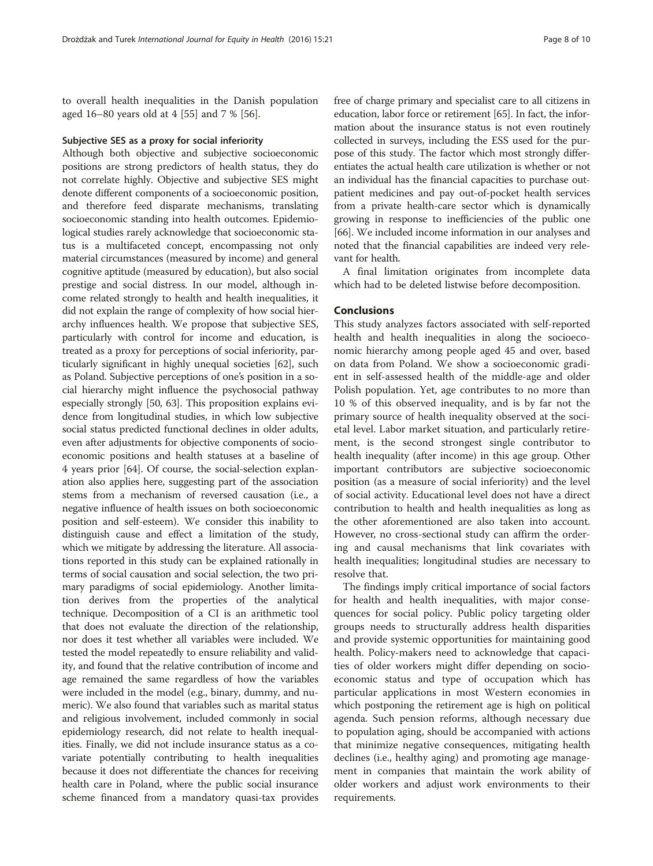to overall health inequalities in the Danish population aged 16–80 years old at 4 [[55\]](#page-9-0) and 7 % [[56](#page-9-0)].

#### Subjective SES as a proxy for social inferiority

Although both objective and subjective socioeconomic positions are strong predictors of health status, they do not correlate highly. Objective and subjective SES might denote different components of a socioeconomic position, and therefore feed disparate mechanisms, translating socioeconomic standing into health outcomes. Epidemiological studies rarely acknowledge that socioeconomic status is a multifaceted concept, encompassing not only material circumstances (measured by income) and general cognitive aptitude (measured by education), but also social prestige and social distress. In our model, although income related strongly to health and health inequalities, it did not explain the range of complexity of how social hierarchy influences health. We propose that subjective SES, particularly with control for income and education, is treated as a proxy for perceptions of social inferiority, particularly significant in highly unequal societies [\[62\]](#page-9-0), such as Poland. Subjective perceptions of one's position in a social hierarchy might influence the psychosocial pathway especially strongly [\[50](#page-9-0), [63](#page-9-0)]. This proposition explains evidence from longitudinal studies, in which low subjective social status predicted functional declines in older adults, even after adjustments for objective components of socioeconomic positions and health statuses at a baseline of 4 years prior [[64](#page-9-0)]. Of course, the social-selection explanation also applies here, suggesting part of the association stems from a mechanism of reversed causation (i.e., a negative influence of health issues on both socioeconomic position and self-esteem). We consider this inability to distinguish cause and effect a limitation of the study, which we mitigate by addressing the literature. All associations reported in this study can be explained rationally in terms of social causation and social selection, the two primary paradigms of social epidemiology. Another limitation derives from the properties of the analytical technique. Decomposition of a CI is an arithmetic tool that does not evaluate the direction of the relationship, nor does it test whether all variables were included. We tested the model repeatedly to ensure reliability and validity, and found that the relative contribution of income and age remained the same regardless of how the variables were included in the model (e.g., binary, dummy, and numeric). We also found that variables such as marital status and religious involvement, included commonly in social epidemiology research, did not relate to health inequalities. Finally, we did not include insurance status as a covariate potentially contributing to health inequalities because it does not differentiate the chances for receiving health care in Poland, where the public social insurance scheme financed from a mandatory quasi-tax provides

free of charge primary and specialist care to all citizens in education, labor force or retirement [\[65\]](#page-9-0). In fact, the information about the insurance status is not even routinely collected in surveys, including the ESS used for the purpose of this study. The factor which most strongly differentiates the actual health care utilization is whether or not an individual has the financial capacities to purchase outpatient medicines and pay out-of-pocket health services from a private health-care sector which is dynamically growing in response to inefficiencies of the public one [[66](#page-9-0)]. We included income information in our analyses and noted that the financial capabilities are indeed very relevant for health.

A final limitation originates from incomplete data which had to be deleted listwise before decomposition.

# Conclusions

This study analyzes factors associated with self-reported health and health inequalities in along the socioeconomic hierarchy among people aged 45 and over, based on data from Poland. We show a socioeconomic gradient in self-assessed health of the middle-age and older Polish population. Yet, age contributes to no more than 10 % of this observed inequality, and is by far not the primary source of health inequality observed at the societal level. Labor market situation, and particularly retirement, is the second strongest single contributor to health inequality (after income) in this age group. Other important contributors are subjective socioeconomic position (as a measure of social inferiority) and the level of social activity. Educational level does not have a direct contribution to health and health inequalities as long as the other aforementioned are also taken into account. However, no cross-sectional study can affirm the ordering and causal mechanisms that link covariates with health inequalities; longitudinal studies are necessary to resolve that.

The findings imply critical importance of social factors for health and health inequalities, with major consequences for social policy. Public policy targeting older groups needs to structurally address health disparities and provide systemic opportunities for maintaining good health. Policy-makers need to acknowledge that capacities of older workers might differ depending on socioeconomic status and type of occupation which has particular applications in most Western economies in which postponing the retirement age is high on political agenda. Such pension reforms, although necessary due to population aging, should be accompanied with actions that minimize negative consequences, mitigating health declines (i.e., healthy aging) and promoting age management in companies that maintain the work ability of older workers and adjust work environments to their requirements.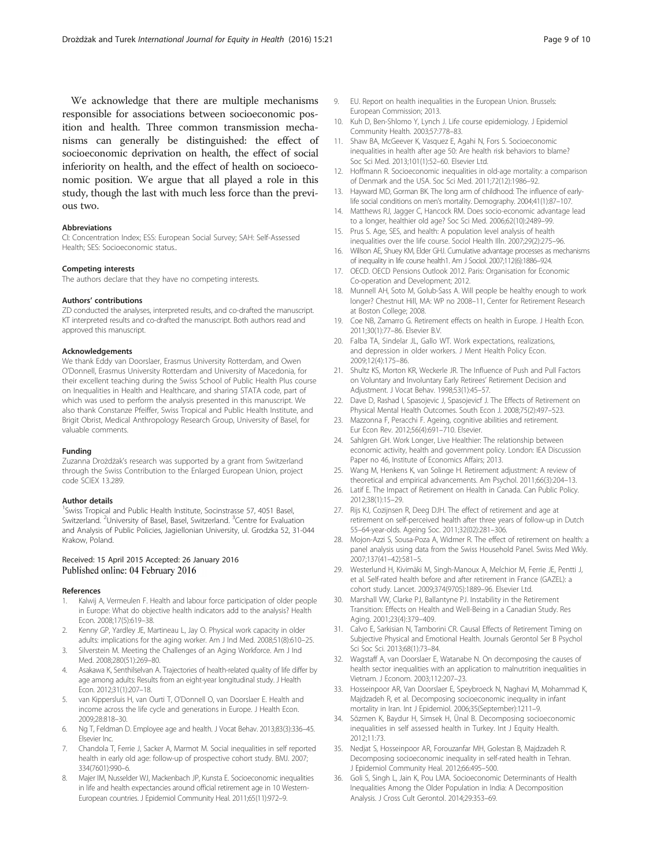<span id="page-8-0"></span>We acknowledge that there are multiple mechanisms responsible for associations between socioeconomic position and health. Three common transmission mechanisms can generally be distinguished: the effect of socioeconomic deprivation on health, the effect of social inferiority on health, and the effect of health on socioeconomic position. We argue that all played a role in this study, though the last with much less force than the previous two.

#### Abbreviations

CI: Concentration Index; ESS: European Social Survey; SAH: Self-Assessed Health; SES: Socioeconomic status..

#### Competing interests

The authors declare that they have no competing interests.

#### Authors' contributions

ZD conducted the analyses, interpreted results, and co-drafted the manuscript. KT interpreted results and co-drafted the manuscript. Both authors read and approved this manuscript.

#### Acknowledgements

We thank Eddy van Doorslaer, Erasmus University Rotterdam, and Owen O'Donnell, Erasmus University Rotterdam and University of Macedonia, for their excellent teaching during the Swiss School of Public Health Plus course on Inequalities in Health and Healthcare, and sharing STATA code, part of which was used to perform the analysis presented in this manuscript. We also thank Constanze Pfeiffer, Swiss Tropical and Public Health Institute, and Brigit Obrist, Medical Anthropology Research Group, University of Basel, for valuable comments.

#### Funding

Zuzanna Drożdżak's research was supported by a grant from Switzerland through the Swiss Contribution to the Enlarged European Union, project code SCIEX 13.289.

#### Author details

<sup>1</sup>Swiss Tropical and Public Health Institute, Socinstrasse 57, 4051 Basel, Switzerland. <sup>2</sup>University of Basel, Basel, Switzerland. <sup>3</sup>Centre for Evaluation and Analysis of Public Policies, Jagiellonian University, ul. Grodzka 52, 31-044 Krakow, Poland.

## Received: 15 April 2015 Accepted: 26 January 2016 Published online: 04 February 2016

#### References

- 1. Kalwij A, Vermeulen F. Health and labour force participation of older people in Europe: What do objective health indicators add to the analysis? Health Econ. 2008;17(5):619–38.
- 2. Kenny GP, Yardley JE, Martineau L, Jay O. Physical work capacity in older adults: implications for the aging worker. Am J Ind Med. 2008;51(8):610–25.
- 3. Silverstein M. Meeting the Challenges of an Aging Workforce. Am J Ind Med. 2008;280(51):269–80.
- 4. Asakawa K, Senthilselvan A. Trajectories of health-related quality of life differ by age among adults: Results from an eight-year longitudinal study. J Health Econ. 2012;31(1):207–18.
- 5. van Kippersluis H, van Ourti T, O'Donnell O, van Doorslaer E. Health and income across the life cycle and generations in Europe. J Health Econ. 2009;28:818–30.
- 6. Ng T, Feldman D. Employee age and health. J Vocat Behav. 2013;83(3):336–45. Elsevier Inc.
- 7. Chandola T, Ferrie J, Sacker A, Marmot M. Social inequalities in self reported health in early old age: follow-up of prospective cohort study. BMJ. 2007; 334(7601):990–6.
- Majer IM, Nusselder WJ, Mackenbach JP, Kunsta E. Socioeconomic inequalities in life and health expectancies around official retirement age in 10 Western-European countries. J Epidemiol Community Heal. 2011;65(11):972–9.
- 9. EU. Report on health inequalities in the European Union. Brussels: European Commission; 2013.
- 10. Kuh D, Ben-Shlomo Y, Lynch J. Life course epidemiology. J Epidemiol Community Health. 2003;57:778–83.
- 11. Shaw BA, McGeever K, Vasquez E, Agahi N, Fors S. Socioeconomic inequalities in health after age 50: Are health risk behaviors to blame? Soc Sci Med. 2013;101(1):52–60. Elsevier Ltd.
- 12. Hoffmann R. Socioeconomic inequalities in old-age mortality: a comparison of Denmark and the USA. Soc Sci Med. 2011;72(12):1986–92.
- 13. Hayward MD, Gorman BK. The long arm of childhood: The influence of earlylife social conditions on men's mortality. Demography. 2004;41(1):87–107.
- 14. Matthews RJ, Jagger C, Hancock RM. Does socio-economic advantage lead to a longer, healthier old age? Soc Sci Med. 2006;62(10):2489–99.
- 15. Prus S. Age, SES, and health: A population level analysis of health inequalities over the life course. Sociol Health Illn. 2007;29(2):275–96.
- 16. Willson AE, Shuey KM, Elder GHJ. Cumulative advantage processes as mechanisms of inequality in life course health1. Am J Sociol. 2007;112(6):1886–924.
- 17. OECD. OECD Pensions Outlook 2012. Paris: Organisation for Economic Co-operation and Development; 2012.
- 18. Munnell AH, Soto M, Golub-Sass A. Will people be healthy enough to work longer? Chestnut Hill, MA: WP no 2008–11, Center for Retirement Research at Boston College; 2008.
- 19. Coe NB, Zamarro G. Retirement effects on health in Europe. J Health Econ. 2011;30(1):77–86. Elsevier B.V.
- 20. Falba TA, Sindelar JL, Gallo WT. Work expectations, realizations, and depression in older workers. J Ment Health Policy Econ. 2009;12(4):175–86.
- 21. Shultz KS, Morton KR, Weckerle JR. The Influence of Push and Pull Factors on Voluntary and Involuntary Early Retirees' Retirement Decision and Adjustment. J Vocat Behav. 1998;53(1):45–57.
- 22. Dave D, Rashad I, Spasojevic J, Spasojevicf J. The Effects of Retirement on Physical Mental Health Outcomes. South Econ J. 2008;75(2):497–523.
- 23. Mazzonna F, Peracchi F. Ageing, cognitive abilities and retirement. Eur Econ Rev. 2012;56(4):691–710. Elsevier.
- 24. Sahlgren GH. Work Longer, Live Healthier: The relationship between economic activity, health and government policy. London: IEA Discussion Paper no 46, Institute of Economics Affairs; 2013.
- 25. Wang M, Henkens K, van Solinge H. Retirement adjustment: A review of theoretical and empirical advancements. Am Psychol. 2011;66(3):204–13.
- 26. Latif E. The Impact of Retirement on Health in Canada. Can Public Policy. 2012;38(1):15–29.
- 27. Rijs KJ, Cozijnsen R, Deeg DJH. The effect of retirement and age at retirement on self-perceived health after three years of follow-up in Dutch 55–64-year-olds. Ageing Soc. 2011;32(02):281–306.
- 28. Mojon-Azzi S, Sousa-Poza A, Widmer R. The effect of retirement on health: a panel analysis using data from the Swiss Household Panel. Swiss Med Wkly. 2007;137(41–42):581–5.
- 29. Westerlund H, Kivimäki M, Singh-Manoux A, Melchior M, Ferrie JE, Pentti J, et al. Self-rated health before and after retirement in France (GAZEL): a cohort study. Lancet. 2009;374(9705):1889–96. Elsevier Ltd.
- 30. Marshall VW, Clarke PJ, Ballantyne PJ. Instability in the Retirement Transition: Effects on Health and Well-Being in a Canadian Study. Res Aging. 2001;23(4):379–409.
- 31. Calvo E, Sarkisian N, Tamborini CR. Causal Effects of Retirement Timing on Subjective Physical and Emotional Health. Journals Gerontol Ser B Psychol Sci Soc Sci. 2013;68(1):73–84.
- 32. Wagstaff A, van Doorslaer E, Watanabe N. On decomposing the causes of health sector inequalities with an application to malnutrition inequalities in Vietnam. J Econom. 2003;112:207–23.
- 33. Hosseinpoor AR, Van Doorslaer E, Speybroeck N, Naghavi M, Mohammad K, Majdzadeh R, et al. Decomposing socioeconomic inequality in infant mortality in Iran. Int J Epidemiol. 2006;35(September):1211–9.
- 34. Sözmen K, Baydur H, Simsek H, Ünal B. Decomposing socioeconomic inequalities in self assessed health in Turkey. Int J Equity Health. 2012;11:73.
- 35. Nedjat S, Hosseinpoor AR, Forouzanfar MH, Golestan B, Majdzadeh R. Decomposing socioeconomic inequality in self-rated health in Tehran. J Epidemiol Community Heal. 2012;66:495–500.
- 36. Goli S, Singh L, Jain K, Pou LMA. Socioeconomic Determinants of Health Inequalities Among the Older Population in India: A Decomposition Analysis. J Cross Cult Gerontol. 2014;29:353–69.